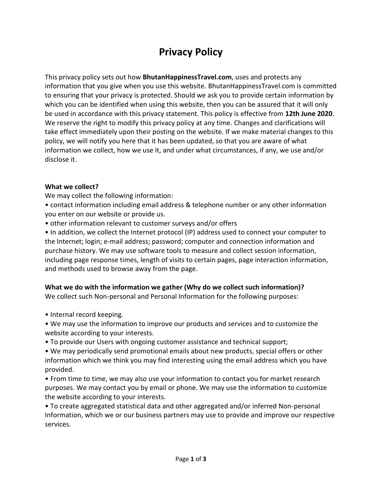# **Privacy Policy**

This privacy policy sets out how **BhutanHappinessTravel.com**, uses and protects any information that you give when you use this website. BhutanHappinessTravel.com is committed to ensuring that your privacy is protected. Should we ask you to provide certain information by which you can be identified when using this website, then you can be assured that it will only be used in accordance with this privacy statement. This policy is effective from **12th June 2020**. We reserve the right to modify this privacy policy at any time. Changes and clarifications will take effect immediately upon their posting on the website. If we make material changes to this policy, we will notify you here that it has been updated, so that you are aware of what information we collect, how we use it, and under what circumstances, if any, we use and/or disclose it.

#### **What we collect?**

We may collect the following information:

- contact information including email address & telephone number or any other information you enter on our website or provide us.
- other information relevant to customer surveys and/or offers

• In addition, we collect the Internet protocol (IP) address used to connect your computer to the Internet; login; e-mail address; password; computer and connection information and purchase history. We may use software tools to measure and collect session information, including page response times, length of visits to certain pages, page interaction information, and methods used to browse away from the page.

### **What we do with the information we gather (Why do we collect such information)?**

We collect such Non-personal and Personal Information for the following purposes:

- Internal record keeping.
- We may use the information to improve our products and services and to customize the website according to your interests.
- To provide our Users with ongoing customer assistance and technical support;
- We may periodically send promotional emails about new products, special offers or other information which we think you may find interesting using the email address which you have provided.
- From time to time, we may also use your information to contact you for market research purposes. We may contact you by email or phone. We may use the information to customize the website according to your interests.
- To create aggregated statistical data and other aggregated and/or inferred Non-personal Information, which we or our business partners may use to provide and improve our respective services.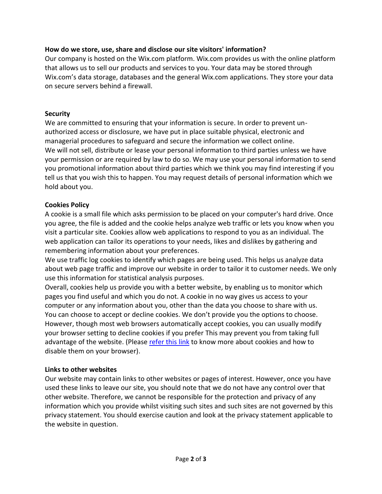### **How do we store, use, share and disclose our site visitors' information?**

Our company is hosted on the Wix.com platform. Wix.com provides us with the online platform that allows us to sell our products and services to you. Your data may be stored through Wix.com's data storage, databases and the general Wix.com applications. They store your data on secure servers behind a firewall.

## **Security**

We are committed to ensuring that your information is secure. In order to prevent unauthorized access or disclosure, we have put in place suitable physical, electronic and managerial procedures to safeguard and secure the information we collect online. We will not sell, distribute or lease your personal information to third parties unless we have your permission or are required by law to do so. We may use your personal information to send you promotional information about third parties which we think you may find interesting if you tell us that you wish this to happen. You may request details of personal information which we hold about you.

## **Cookies Policy**

A cookie is a small file which asks permission to be placed on your computer's hard drive. Once you agree, the file is added and the cookie helps analyze web traffic or lets you know when you visit a particular site. Cookies allow web applications to respond to you as an individual. The web application can tailor its operations to your needs, likes and dislikes by gathering and remembering information about your preferences.

We use traffic log cookies to identify which pages are being used. This helps us analyze data about web page traffic and improve our website in order to tailor it to customer needs. We only use this information for statistical analysis purposes.

Overall, cookies help us provide you with a better website, by enabling us to monitor which pages you find useful and which you do not. A cookie in no way gives us access to your computer or any information about you, other than the data you choose to share with us. You can choose to accept or decline cookies. We don't provide you the options to choose. However, though most web browsers automatically accept cookies, you can usually modify your browser setting to decline cookies if you prefer This may prevent you from taking full advantage of the website. (Please [refer this](https://www.howtogeek.com/241006/how-to-block-third-party-cookies-in-every-web-browser/) link to know more about cookies and how to disable them on your browser).

## **Links to other websites**

Our website may contain links to other websites or pages of interest. However, once you have used these links to leave our site, you should note that we do not have any control over that other website. Therefore, we cannot be responsible for the protection and privacy of any information which you provide whilst visiting such sites and such sites are not governed by this privacy statement. You should exercise caution and look at the privacy statement applicable to the website in question.